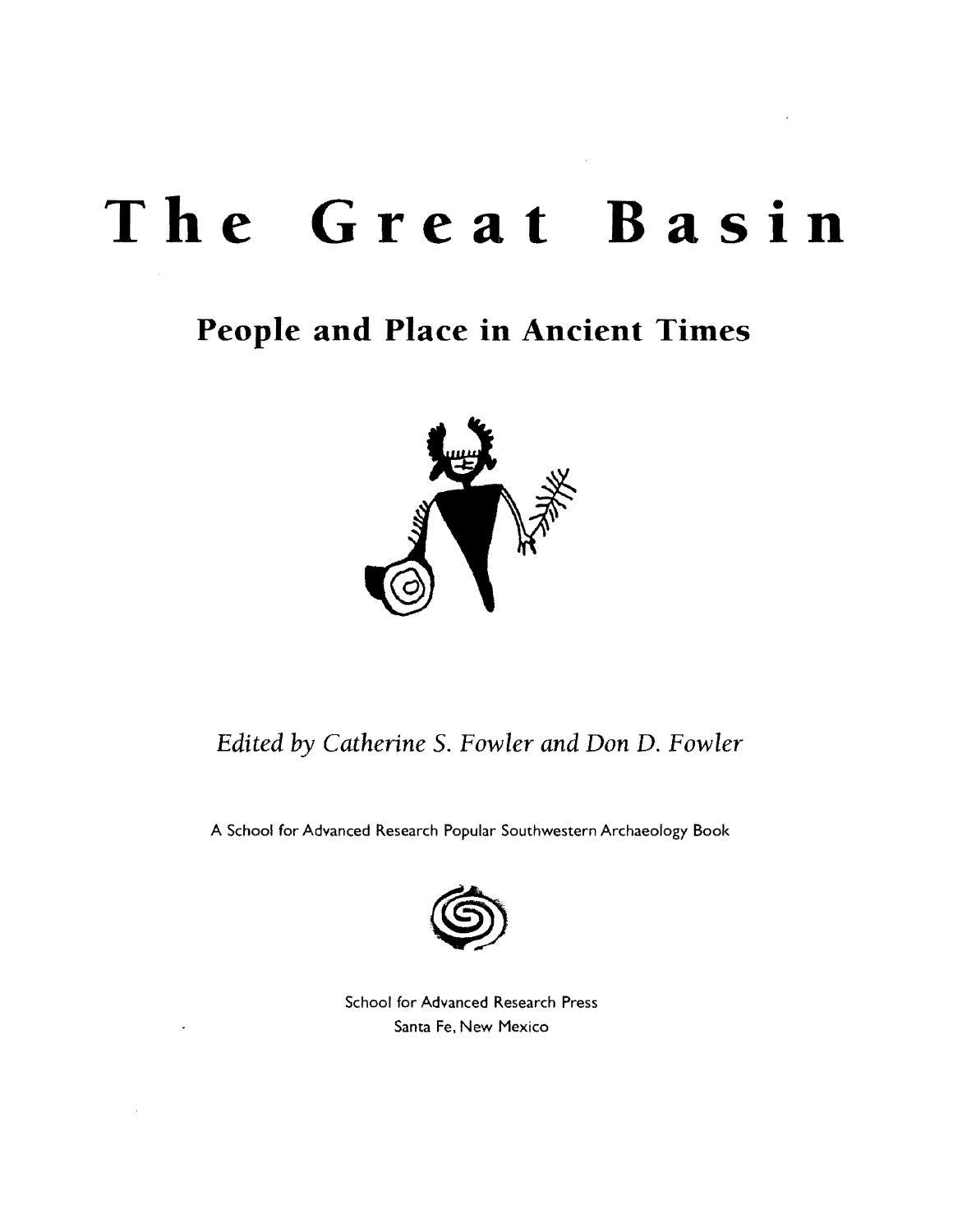## The Great Basin

## **People and Place in Ancient Times**



### *Edited by Catherine* S. *Fowler and Don* D. *Fowler*

A School for Advanced Research Popular Southwestern Archaeology Book



School for Advanced Research Press Santa Fe, New Mexico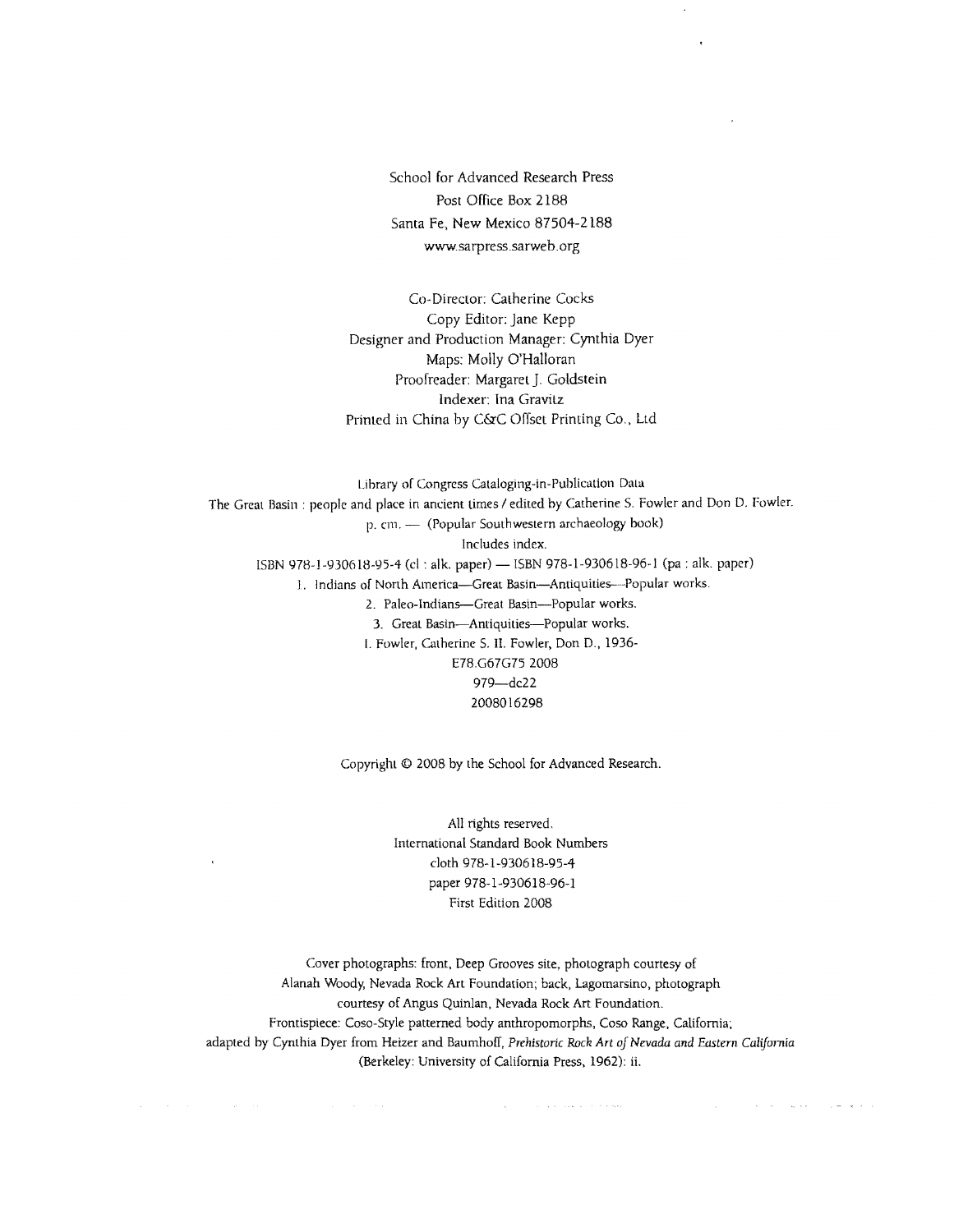School for Advanced Research Press Post Office Box 2188 Santa Fe, New Mexico 87504-2188 www.sarpress.sarweb.org

Co-Director: Catherine Cocks Copy Editor: Jane Kepp Designer and Production Manager: Cynthia Dyer Maps: Molly O'Halloran Proofreader: Margaret J. Goldstein Indexer: Ina Gravitz Printed in China by C&C Offset Printing Co., Ltd

Library of Congress Cataloging-in-Publication Data The Great Basin: people and place in ancient times / edited by Catherine S. Fowler and Don D. Fowler. p. cm. - (Popular Southwestern archaeology book) Includes index. ISBN 978-1-930618-95-4 (cl : alk. paper) - ISBN 978-1-930618-96-1 (pa : alk. paper) 1. Indians of North America---Great Basin---Antiquities---Popular works. 2. Paleo-Indians-Great Basin-Popular works. 3. Great Basin-Antiquities-Popular works. I. Fowler, Catherine S. II. Fowler, Don D., 1936 E78.G67G75 2008 979-dc22 2008016298

Copyright © 2008 by the School for Advanced Research.

All rights reserved. International Standard Book Numbers cloth 978-1-930618-95-4 paper 978-1-930618-96-1 First Edition 2008

 $\overline{a}$ 

Cover photographs: front, Deep Grooves site, photograph courtesy of Alanah Woody, Nevada Rock Art Foundation; back, Lagomarsino, photograph courtesy of Angus QUinlan, Nevada Rock Art Foundation. Frontispiece: Coso-Style patterned body anthropomorphs, Coso Range, California; adapted by Cynthia Dyer from Heizer and Baumhoff. *Prehistoric Rnck Art of Nevada and Eastern Califomta*  (Berkeley: University of California Press, 1962): ii.

 $\hat{\mathcal{A}}$  and  $\hat{\mathcal{A}}$  is the set of the set of the set of the set of  $\hat{\mathcal{A}}$ 

 $\mathcal{L}^{\mathcal{A}}(\mathbf{x})$  , we can assume that  $\mathcal{L}^{\mathcal{A}}(\mathbf{x})$  ,  $\mathcal{L}^{\mathcal{A}}(\mathbf{x})$  , and  $\mathcal{L}^{\mathcal{A}}(\mathbf{x})$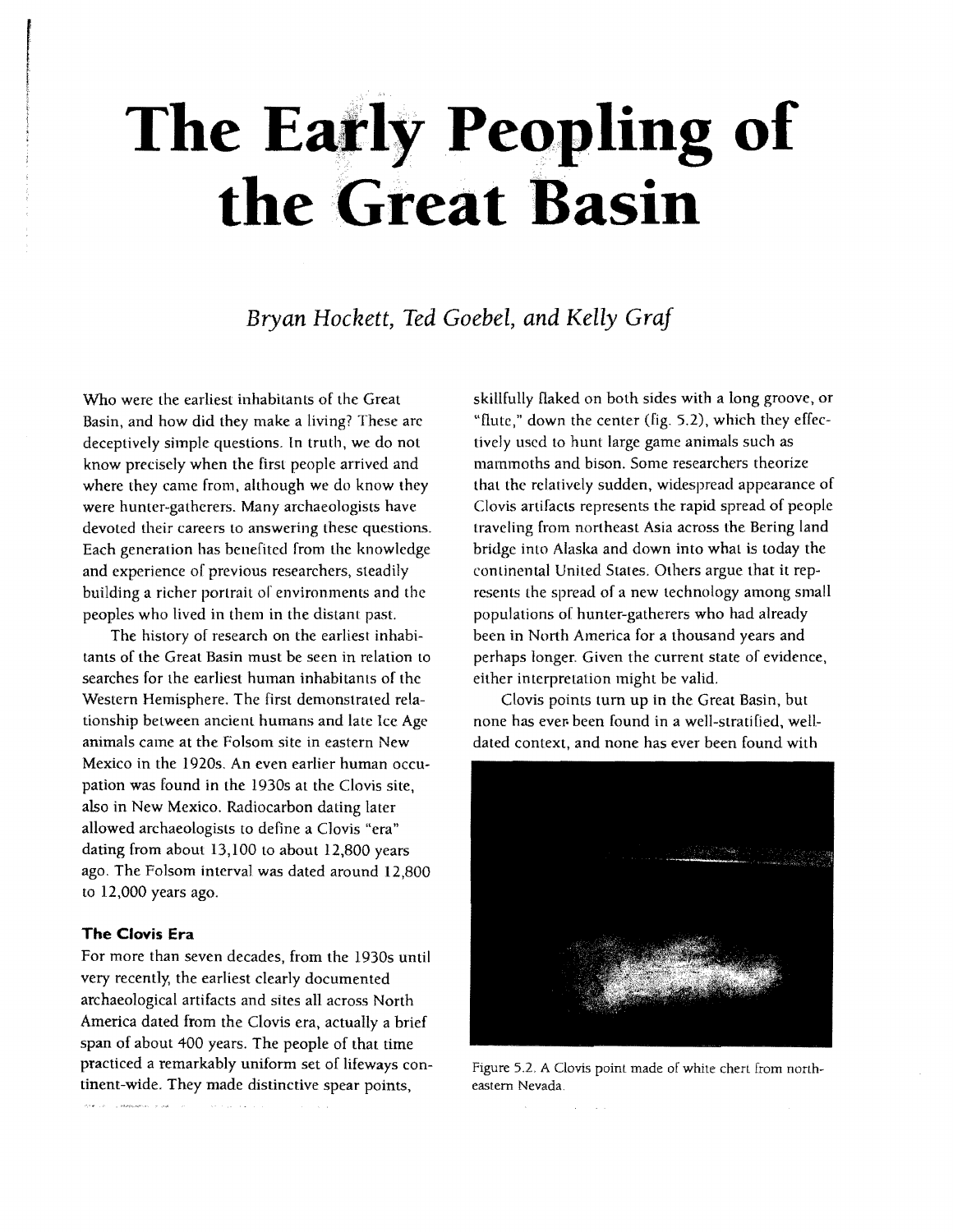# **The Eatly Peopling of** the Great Basin

*Bryan Hockett, Ted Goebel, and Kelly Graf* 

Who were the earliest inhabitants of the Great Basin, and how did they make a living? These are deceptively simple questions. In truth, we do not know precisely when the first people arrived and where they came from, although we do know they were hunter-gatherers. Many archaeologists have devoted their careers to answering these questions. Each generation has benefited from the knowledge and experience of previous researchers, steadily building a richer portrait of environments and the peoples who lived in them in the distant past.

The history of research on the earliest inhabitants of the Great Basin must be seen in relation to searches for the earliest human inhabitants of the Western Hemisphere. The first demonstrated relationship between ancient humans and late Ice Age animals came at the Folsom site in eastern New Mexico in the 1920s. An even earlier human occupation was found in the 1930s at the Clovis site, also in New Mexico. Radiocarbon dating later allowed archaeologists to define a Clovis "era" dating from about 13,100 to about 12,800 years ago. The Folsom interval was dated around 12,800 to 12,000 years ago.

#### **The Clovis Era**

For more than seven decades, from the 1930s until very recently, the earliest clearly documented archaeological artifacts and sites all across North America dated from the Clovis era, actually a brief span of about 400 years. The people of that time practiced a remarkably uniform set of lifeways continent-wide. They made distinctive spear points,

-<br>She can be exploited and as

skillfully flaked on both sides with a long groove, or "flute," down the center (fig. 5.2), which they effectively used to hunt large game animals such as mammoths and bison. Some researchers theorize that the relatively sudden, Widespread appearance of Clovis artifacts represents the rapid spread of people traveling from northeast Asia across the Bering land bridge into Alaska and down into what is today the continental United States. Others argue that it represents the spread of a new technology among small populations of hunter-gatherers who had already been in North America for a thousand years and perhaps longer. Given the current state of evidence. either interpretation might be valid.

Clovis points turn up in the Great Basin, but none has ever- been found in a well-stratified, welldated context, and none has ever been found with



Figure 5.2. A Clovis point made of white chert from northeastern Nevada.

 $\Delta\phi$  and  $\Delta\phi$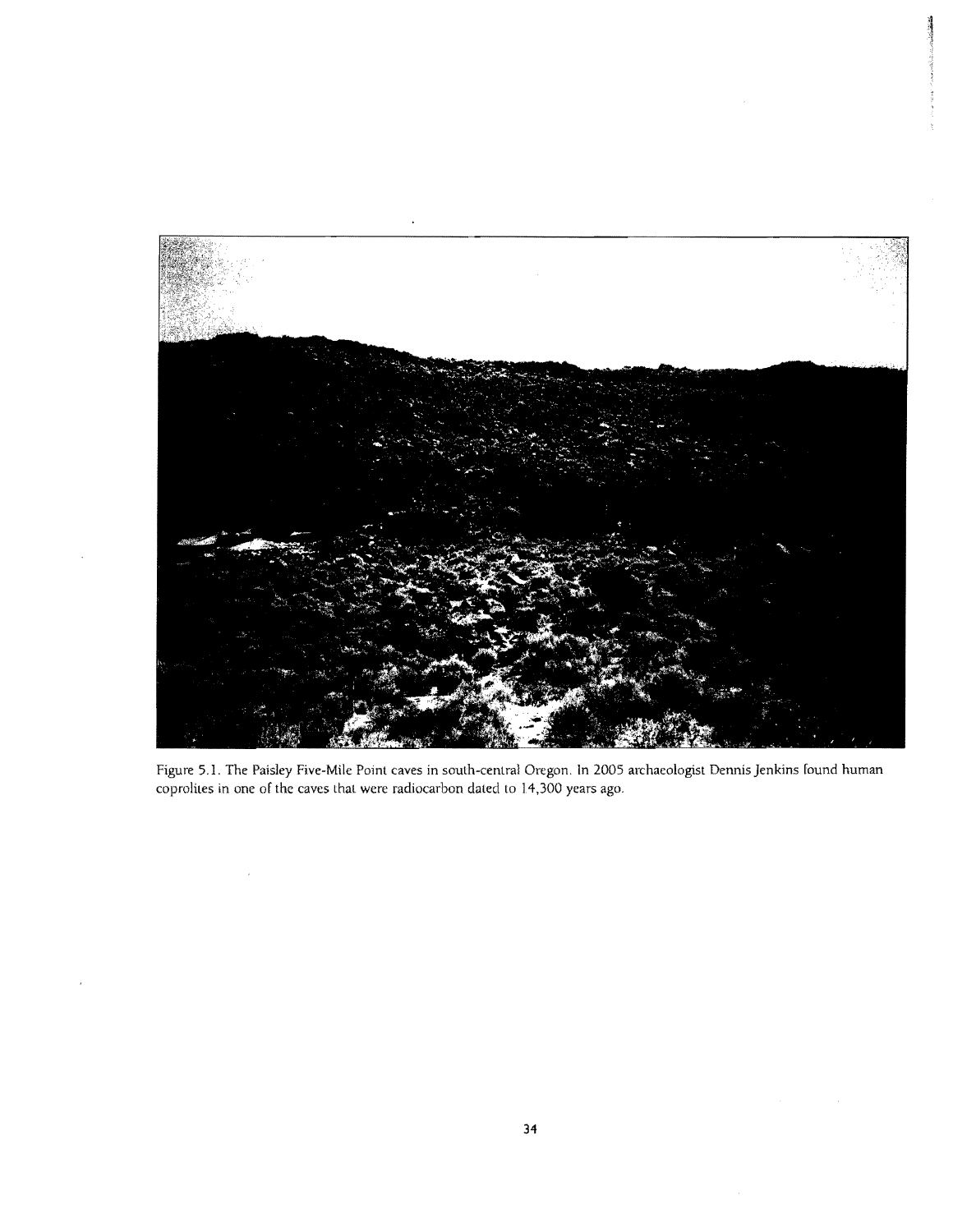

Figure 5.1. The Paisley Five-Mile Point caves in south-central Oregon. **In** 2005 archaeologist Dennis Jenkins found human coprolites in one of the caves that were radiocarbon dated to 14,300 years ago.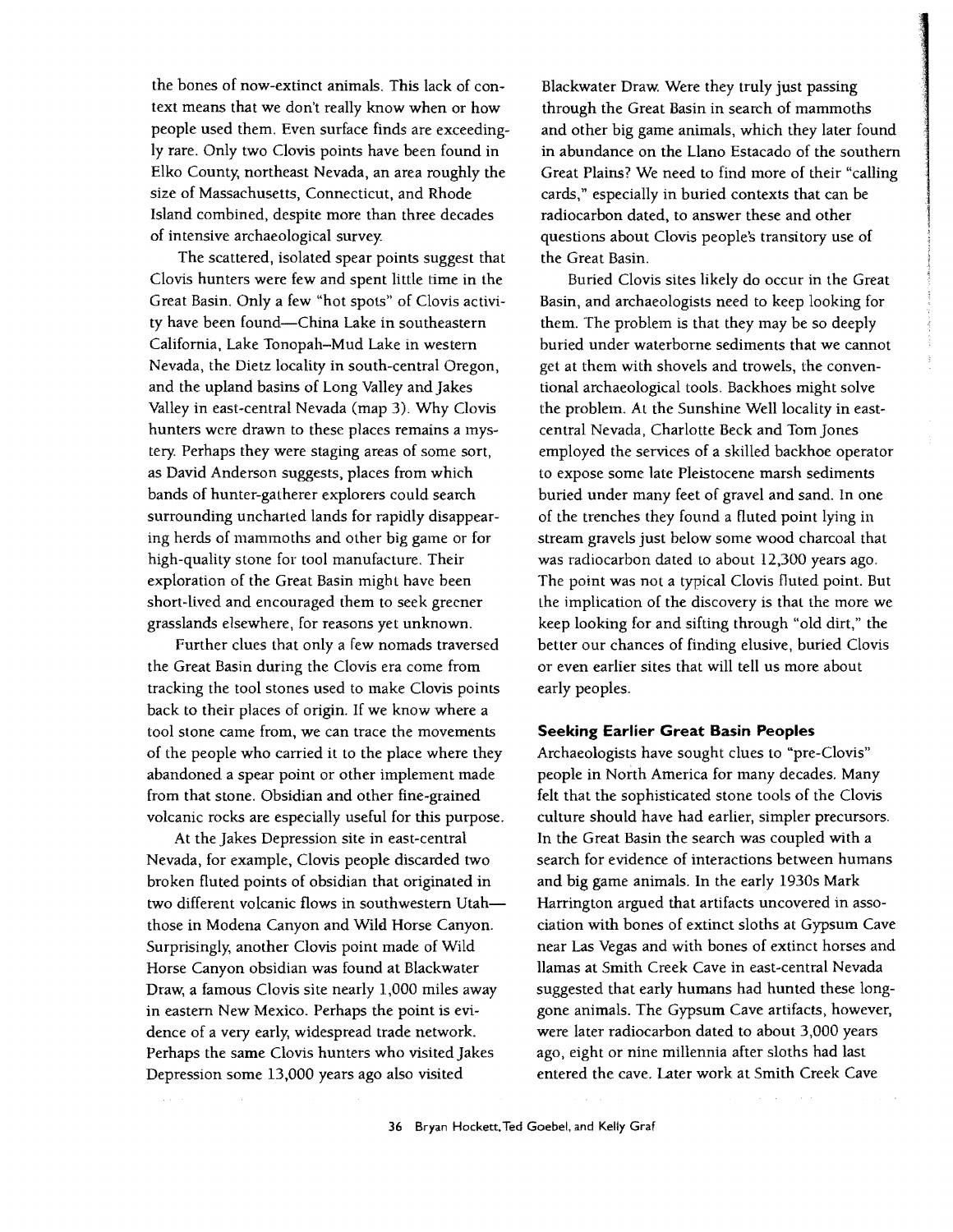the bones of now-extinct animals. This lack of context means that we don't really know when or how people used them. Even surface finds are exceedingly rare. Only two Clovis points have been found in Elko County. northeast Nevada, an area roughly the size of Massachusetts, Connecticut, and Rhode Island combined, despite more than three decades of intensive archaeological survey.

The scattered, isolated spear points suggest that Clovis hunters were few and spent little time in the Great Basin. Only a few "hot spots" of Clovis activity have been found-China Lake in southeastern California, Lake Tonopah-Mud Lake in western Nevada, the Dietz locality in south-central Oregon, and the upland basins of Long Valley and Jakes Valley in east-central Nevada (map 3). Why Clovis hunters were drawn to these places remains a mystery. Perhaps they were staging areas of some sort, as David Anderson suggests, places from which bands of hunter-gatherer explorers could search surrounding uncharted lands for rapidly disappearing herds of mammoths and other big game or for high-quality stone for tool manufacture. Their exploration of the Great Basin might have been short-lived and encouraged them to seek greener grasslands elsewhere, for reasons yet unknown.

Further clues that only a few nomads traversed the Great Basin during the Clovis era come from tracking the tool stones used to make Clovis points back to their places of origin. If we know where a tool stone came from, we can trace the movements of the people who carried it to the place where they abandoned a spear point or other implement made from that stone. Obsidian and other fine-grained volcanic rocks are especially useful for this purpose.

At the Jakes Depression site in east-central Nevada, for example, Clovis people discarded two broken fluted points of obsidian that originated in two different volcanic flows in southwestern Utahthose in Modena Canyon and Wild Horse Canyon. Surprisingly. another Clovis point made of Wild Horse Canyon obsidian was found at Blackwater Draw, a famous Clovis site nearly 1,000 miles away in eastern New Mexico. Perhaps the point is evidence of a very early, widespread trade network. Perhaps the same Clovis hunters who visited Jakes Depression some 13,000 years ago also visited

Blackwater Draw. Were they truly just passing through the Great Basin in search of mammoths and other big game animals, which they later found in abundance on the Llano Estacado of the southern Great Plains? We need to find more of their "calling cards," especially in buried contexts that can be radiocarbon dated, to answer these and other questions about Clovis people's transitory use of the Great Basin.

Buried Clovis sites likely do occur in the Great Basin, and archaeologists need to keep looking for them. The problem is that they may be so deeply buried under waterborne sediments that we cannot get at them with shovels and trowels, the conventional archaeological tools. Backhoes might solve the problem. At the Sunshine Well locality in eastcentral Nevada, Charlotte Beck and Tom Jones employed the services of a skilled backhoe operator to expose some late Pleistocene marsh sediments buried under many feet of gravel and sand. In one of the trenches they found a fluted point lying in stream gravels just below some wood charcoal that was radiocarbon dated to about 12,300 years ago. The point was not a typical Clovis fluted point. But the implication of the discovery is that the more we keep looking for and sifting through "old dirt," the better our chances of finding elusive, buried Clovis or even earlier sites that will tell us more about early peoples.

#### **Seeking Earlier Great Basin Peoples**

Archaeologists have sought clues to "pre-CloviS" people in North America for many decades. Many felt that the sophisticated stone tools of the Clovis culture should have had earlier, simpler precursors. In the Great Basin the search was coupled with a search for evidence of interactions between humans and big game animals. In the early 1930s Mark Harrington argued that artifacts uncovered in association with bones of extinct sloths at Gypsum Cave near Las Vegas and with bones of extinct horses and llamas at Smith Creek Cave in east-central Nevada suggested that early humans had hunted these longgone animals. The Gypsum Cave artifacts, however, were later radiocarbon dated to about 3,000 years ago, eight or nine millennia after sloths had last entered the cave. Later work at Smith Creek Cave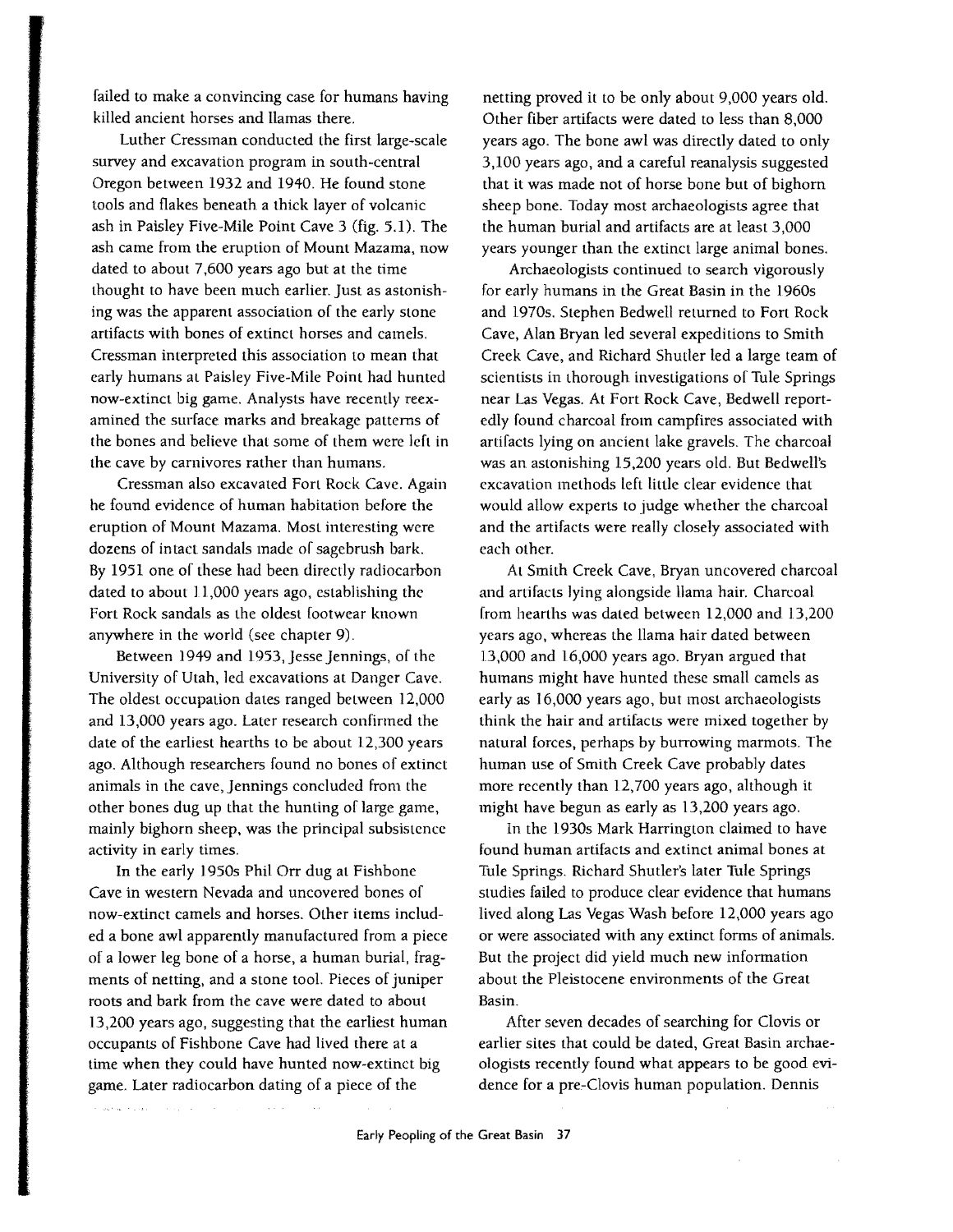failed to make a convincing case for humans having killed ancient horses and llamas there.

Luther Cressman conducted the first large-scale survey and excavation program in south-central Oregon between 1932 and 1940. He found stone tools and flakes beneath a thick layer of volcanic ash in Paisley Five-Mile Point Cave 3 (fig. 5.1). The ash came from the eruption of Mount Mazama, now dated to about 7,600 years ago but at the time thought to have been much earlier. just as astonishing was the apparent association of the early stone artifacts with bones of extinct horses and camels. Cressman interpreted this association to mean that early humans at Paisley Five-Mile Point had hunted now-extinct big game. Analysts have recently reexamined the surface marks and breakage patterns of the bones and believe that some of them were left in the cave by carnivores rather than humans.

Cressman also excavated Fort Rock Cave. Again he found evidence of human habitation before the eruption of Mount Mazama. Most interesting were dozens of intact sandals made of sagebrush bark. By 1951 one of these had been directly radiocarbon dated to about 11,000 years ago, establishing the Fort Rock sandals as the oldest footwear known anywhere in the world (see chapter 9).

Between 1949 and 1953, jesse jennings, of the University of Utah, led excavations at Danger Cave. The oldest occupation dates ranged between 12,000 and 13,000 years ago. Later research confirmed the date of the earliest hearths to be about 12,300 years ago. Although researchers found no bones of extinct animals in the cave, jennings concluded from the other bones dug up that the hunting of large game, mainly bighorn sheep, was the principal subsistence activity in early times.

In the early 1950s Phil Orr dug at Fishbone Cave in western Nevada and uncovered bones of now-extinct camels and horses. Other items included a bone awl apparently manufactured from a piece of a lower leg bone of a horse, a human burial, fragments of netting, and a stone tool. Pieces of juniper roots and bark from the cave were dated to about 13,200 years ago, suggesting that the earliest human occupants of Fishbone Cave had lived there at a time when they could have hunted now-extinct big game. Later radiocarbon dating of a piece of the

**Alan** 

 $\label{eq:1} \text{dist}(t) = \mathbb{E}\left[\left\{x\in\mathbb{R}^d\mid\mathbb{R}^d\right\}\right] \text{ for all }t\in\mathbb{R}^d.$ 

netting proved it to be only about 9,000 years old. Other fiber artifacts were dated to less than 8,000 years ago. The bone awl was directly dated to only 3,100 years ago, and a careful reanalysis suggested that it was made not of horse bone but of bighorn sheep bone. Today most archaeologists agree that the human burial and artifacts are at least 3,000 years younger than the extinct large animal bones.

Archaeologists continued to search vigorously for early humans in the Great Basin in the 1960s and 1970s. Stephen Bedwell returned to Fort Rock Cave, Alan Bryan led several expeditions to Smith Creek Cave, and Richard Shutler led a large team of scientists in thorough investigations of Tule Springs near Las Vegas. At Fort Rock Cave, Bedwell reportedly found charcoal from campfires associated with artifacts lying on ancient lake gravels. The charcoal was an astonishing 15,200 years old. But Bedwell's excavation methods left little clear evidence that would allow experts to judge whether the charcoal and the artifacts were really closely associated with each other.

At Smith Creek Cave, Bryan uncovered charcoal and artifacts lying alongside llama hair. Charcoal [rom hearths was dated between 12,000 and 13,200 years ago, whereas the llama hair dated between 13,000 and 16,000 years ago. Bryan argued that humans might have hunted these small camels as early as 16,000 years ago, but most archaeologists think the hair and artifacts were mixed together by natural forces, perhaps by burrowing marmots. The human use of Smith Creek Cave probably dates more recently than 12,700 years ago, although it might have begun as early as 13,200 years ago.

In the 1930s Mark Harrington claimed to have found human artifacts and extinct animal bones at Tule Springs. Richard Shutler's later Tule Springs studies failed to produce clear evidence that humans lived along Las Vegas Wash before 12,000 years ago or were associated with any extinct forms of animals. But the project did yield much new information about the Pleistocene environments of the Great Basin.

After seven decades of searching for Clovis or earlier sites that could be dated, Great Basin archaeologists recently found what appears to be good evidence for a pre-Clovis human population. Dennis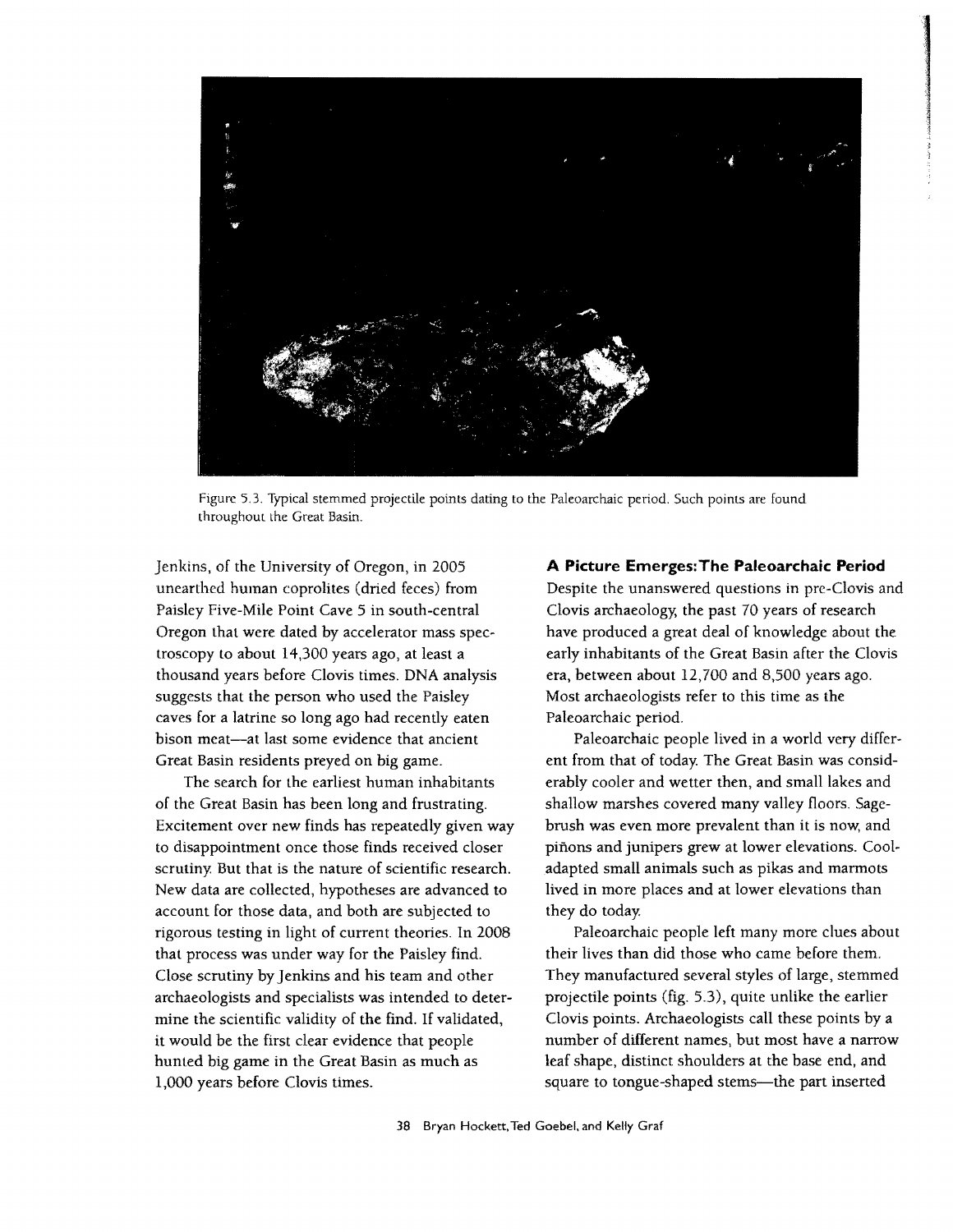

Figure 5.3. Typical stemmed projectile points dating to the Paleoarchaic period. Such points are found throughout the Great Basin.

Jenkins, of the University of Oregon, in 2005 unearthed human coprolites (dried feces) from Paisley Five-Mile Point Cave 5 in south-central Oregon that were dated by accelerator mass spectroscopy to about 14,300 years ago, at least a thousand years before Clovis times. DNA analysis suggests that the person who used the Paisley caves for a latrine so long ago had recently eaten bison meat-at last some evidence that ancient Great Basin residents preyed on big game.

The search for the earliest human inhabitants of the Great Basin has been long and frustrating. Excitement over new finds has repeatedly given way to disappointment once those finds received closer scrutiny. But that is the nature of scientific research. New data are collected, hypotheses are advanced to account for those data, and both are subjected to rigorous testing in light of current theories. In 2008 that process was under way for the Paisley find. Close scrutiny by Jenkins and his team and other archaeologists and specialists was intended to determine the scientific validity of the find. If validated, it would be the first clear evidence that people hunted big game in the Great Basin as much as 1,000 years before Clovis times.

#### **A Picture Emerges:The Paleoarchaic Period**

Despite the unanswered questions in pre-Clovis and Clovis archaeology; the past 70 years of research have produced a great deal of knowledge about the early inhabitants of the Great Basin after the Clovis era, between about 12,700 and 8,500 years ago. Most archaeologists refer to this time as the Paleoarchaic period.

Paleoarchaic people lived in a world very different from that of today. The Great Basin was considerably cooler and wetter then, and small lakes and shallow marshes covered many valley floors. Sagebrush was even more prevalent than it is now, and pinons and junipers grew at lower elevations. Cooladapted small animals such as pikas and marmots lived in more places and at lower elevations than they do today.

Paleoarchaic people left many more clues about their lives than did those who came before them. They manufactured several styles of large, stemmed projectile points (fig. 5.3), quite unlike the earlier Clovis points. Archaeologists call these points by a number of different names, but most have a narrow leaf shape, distinct shoulders at the base end. and square to tongue-shaped stems-the part inserted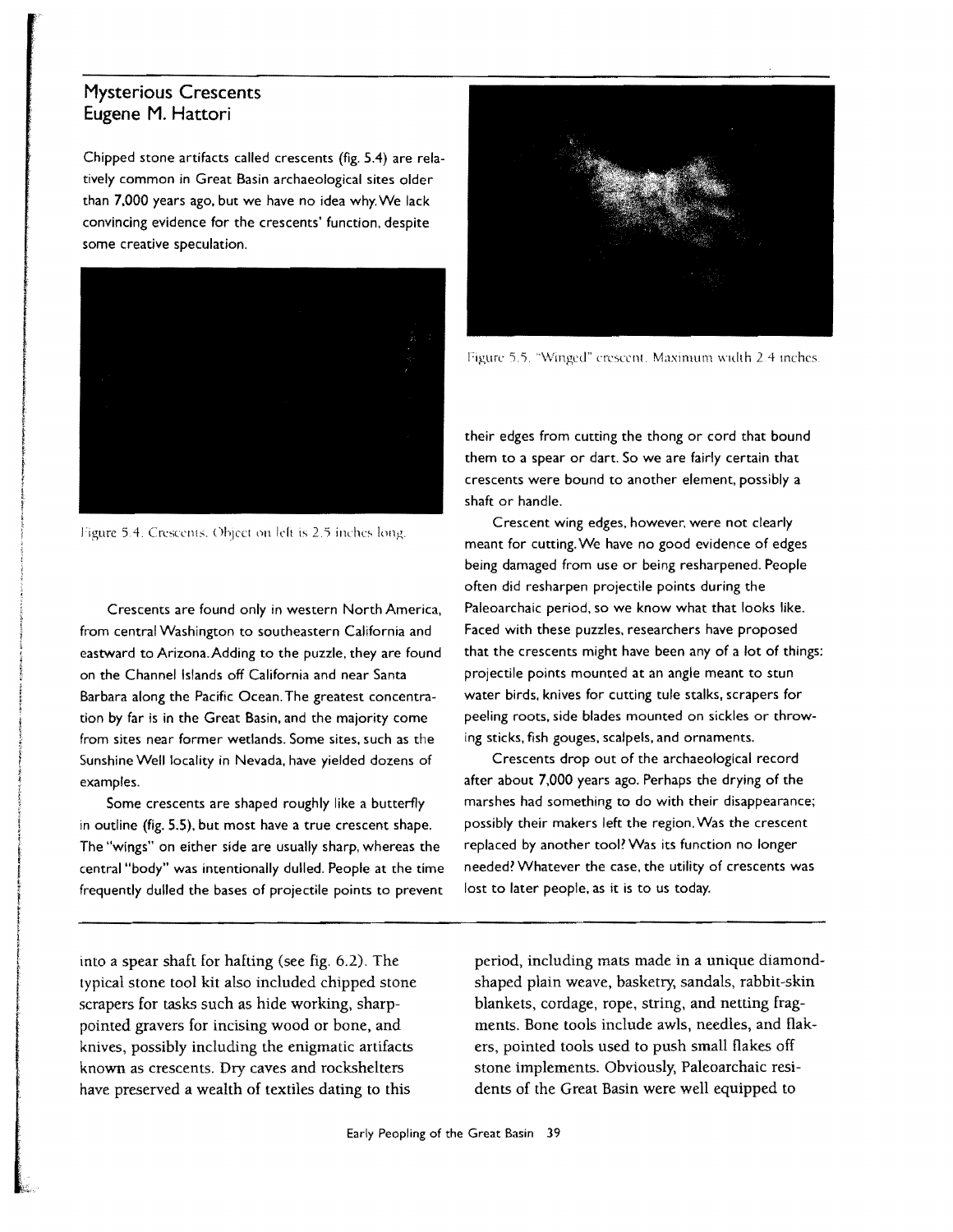#### **Mysterious Crescents Eugene M. Hattori**

i

**If the Constitution of the Constitution of the Constitution of the Constitution of the Constitution of the Constitution of the Constitution of the Constitution of the Constitution of the Constitution of the Constitution o** 

I

I

Chipped stone artifacts called crescents (fig, 5.4) are relatively common in Great Basin archaeological sites older than 7,000 years ago. but we have no idea why, We lack convincing evidence for the crescents' function. despite some creative speculation.



Figure 5.4. Crescents, Object on left is 2.5 inches long.

Crescents are found only in western North America. from central Washington to southeastern California and eastward to Arizona. Adding to the puzzle. they are found on the Channel Islands off California and near Santa Barbara along the Pacific Ocean, The greatest concentration by far is in the Great Basin. and the majority come from sites near former wetlands, Some sites. such as the Sunshine Well locality in Nevada, have yielded dozens of examples.

Some crescents are shaped roughly like a butterfly in outline (fig. 5.5), but most have a true crescent shape. The "wings" on either side are usually sharp, whereas the central "body" was intentionally dulled. People at the time frequently dulled the bases of projectile points to prevent

into a spear shaft for hafting (see fig. 6.2). The lypical stone tool kit also included chipped stone scrapers for tasks such as hide working, sharppointed gravers for incising wood or bone, and knives, possibly including the enigmatic artifacts known as crescents. Dry caves and rockshelters have preserved a wealth of textiles dating to this



Figure 5.5. "Winged" crescent. Maximum width 2.4 inches.

their edges from cutting the thong or cord that bound them to a spear or dart, So we are fairly certain that crescents were bound to another element. possibly a shaft or handle,

Crescent wing edges, however, were not clearly meant for cutting. We have no good evidence of edges being damaged from use or being resharpened. People often did resharpen projectile points during the Paleoarchaic period, so we know what that looks like. Faced with these puzzles. researchers have proposed that the crescents might have been any of a lot of things: projectile points mounted at an angle meant to stun water birds. knives for cutting tule stalks. scrapers for peeling roots. side blades mounted on sickles or throwing sticks. fish gouges, scalpels. and ornaments.

Crescents drop out of the archaeological record after about 7,000 years ago. Perhaps the drying of the marshes had something to do with their disappearance; possibly their makers left the region. Was the crescent replaced by another tool? Was its function no longer needed? Whatever the case, the utility of crescents was lost to later people. as it is to us today.

period, including mats made in a unique diamondshaped plain weave, basketry, sandals, rabbit-skin blankets, cordage, rope, string, and netting fragments. Bone tools include awls, needles, and flakers, pointed tools used to push small flakes off stone implements. Obviously, Paleoarchaic residents of the Great Basin were well equipped to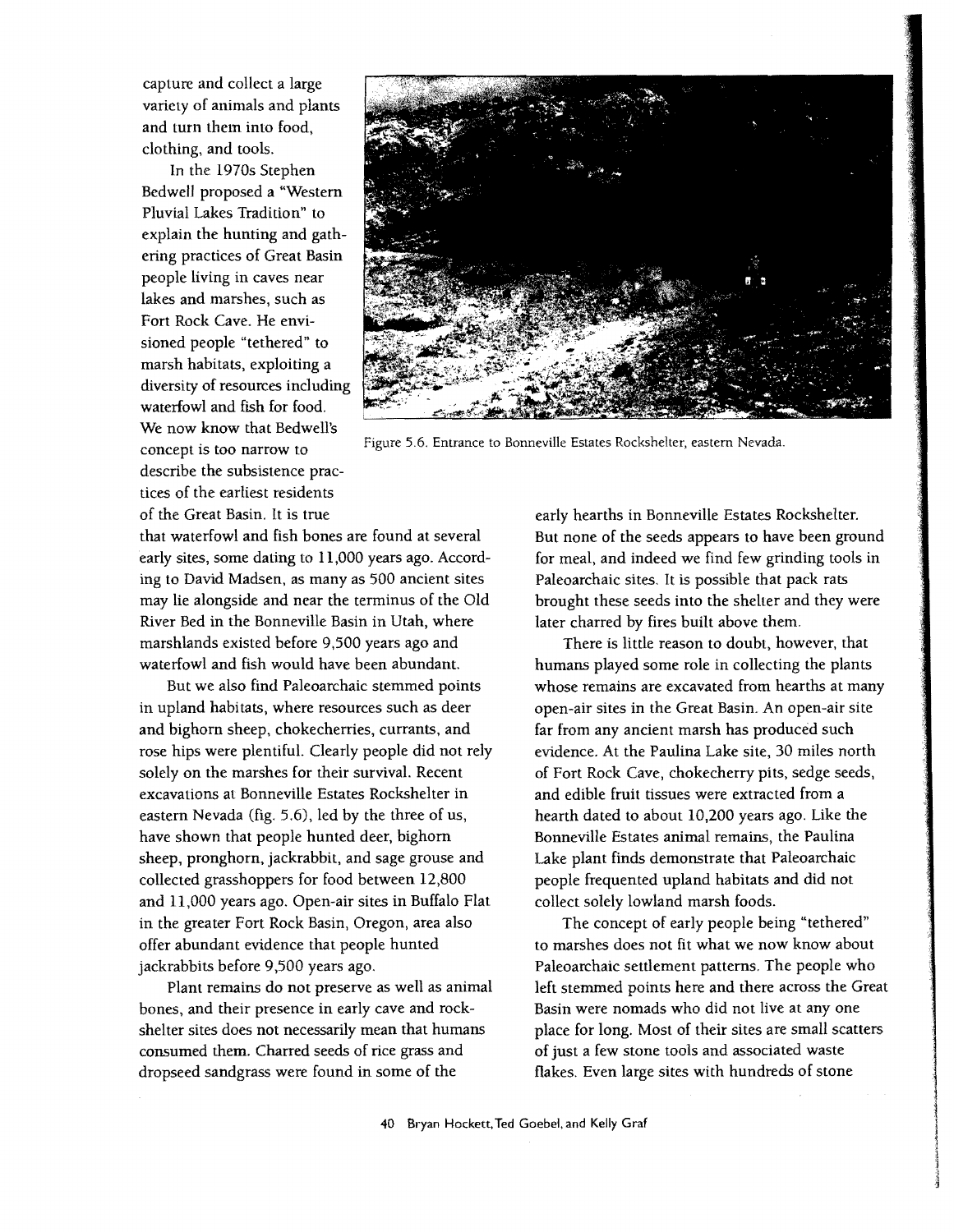capture and collect a large variety of animals and plants and turn them into food, clothing, and tools.

In the 1970s Stephen Bedwell proposed a "Western Pluvial Lakes Tradition" to explain the hunting and gathering practices of Great Basin people living in caves near lakes and marshes, such as Fort Rock Cave. He envisioned people "tethered" to marsh habitats, exploiting a diversity of resources including waterfowl and fish for food. We now know that Bedwell's describe the subsistence practices of the earliest residents of the Great Basin. It is true



Figure 5.6. Entrance to Bonneville Estates Rockshelter, eastern Nevada. concept is too narrow to

that waterfowl and fish bones are found at several early sites, some dating to 11,000 years ago. According to David Madsen, as many as 500 ancient sites may lie alongside and near the terminus of the Old River Bed in the Bonneville Basin in Utah, where marshlands existed before 9,500 years ago and waterfowl and fish would have been abundant.

But we also find Paleoarchaic stemmed points in upland habitats, where resources such as deer and bighorn sheep, chokecherries, currants, and rose hips were plentiful. Clearly people did not rely solely on the marshes for their survival. Recent excavations at Bonneville Estates Rockshelter in eastern Nevada (fig. 5.6), led by the three of us, have shown that people hunted deer, bighorn sheep, pronghorn, jackrabbit, and sage grouse and collected grasshoppers for food between 12,800 and 11,000 years ago. Open-air sites in Buffalo Flat in the greater Fort Rock Basin, Oregon, area also offer abundant evidence that people hunted jackrabbits before 9,500 years ago.

Plant remains do not preserve as well as animal bones, and their presence in early cave and rockshelter sites does not necessarily mean that humans consumed them. Charred seeds of rice grass and dropseed sandgrass were found in some of the

early hearths in Bonneville Estates Rockshelter. But none of the seeds appears to have been ground for meal, and indeed we find few grinding tools in Paleoarchaic sites. It is possible that pack rats brought these seeds into the shelter and they were later charred by fires built above them.

There is little reason to doubt, however, that humans played some role in collecting the plants whose remains are excavated from hearths at many open-air sites in the Great Basin. An open-air site far from any ancient marsh has produced such evidence. At the Paulina Lake site, 30 miles north of Fort Rock Cave, chokecherry pits, sedge seeds, and edible fruit tissues were extracted from a hearth dated to about 10,200 years ago. Like the Bonneville Estates animal remains, the Paulina Lake plant finds demonstrate that Paleoarchaic people frequented upland habitats and did not collect solely lowland marsh foods.

The concept of early people being "tethered" to marshes does not fit what we now know about Paleoarchaic settlement patterns. The people who left stemmed points here and there across the Great Basin were nomads who did not live at anyone place for long. Most of their sites are small scatters of just a few stone tools and associated waste flakes. Even large sites with hundreds of stone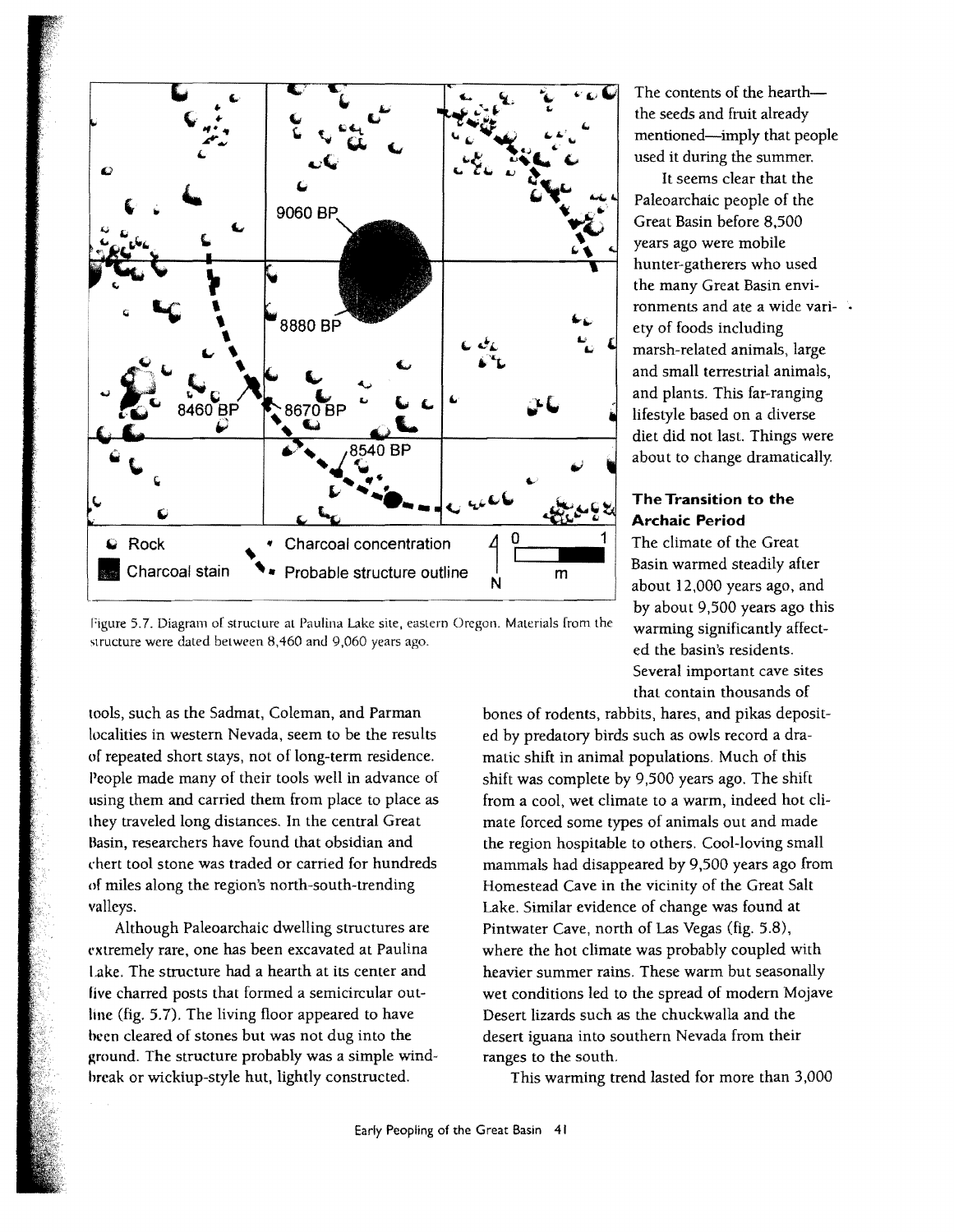

Figure 5.7. Diagram of structure at Paulina Lake site, eastern Oregon. Materials from the structure were dated between 8,460 and 9,060 years ago.

tools, such as the Sadmat, Coleman, and Parman localities in western Nevada, seem to be the results of repeated short stays, not of long-term residence. People made many of their tools well in advance of using them and carried them from place to place as they traveled long distances. In the central Great Basin, researchers have found that obsidian and rhert tool stone was traded or carried for hundreds of miles along the region's north-south-trending valleys.

Although Paleoarchaic dwelling structures are extremely rare, one has been excavated at Paulina Lake. The structure had a hearth at its center and live charred posts that formed a semicircular outline (fig. 5.7). The living floor appeared to have heen cleared of stones but was not dug into the ground. The structure probably was a simple windhreak or wickiup-style hut, lightly constructed.

The contents of the hearththe seeds and fruit already mentioned-imply that people used it during the summer.

It seems clear that the Paleoarchaic people of the Great Basin before 8,500 years ago were mobile hunter-gatherers who used the many Great Basin environments and ate a wide variety of foods including marsh-related animals, large and small terrestrial animals, and plants. This far-ranging lifestyle based on a diverse diet did not last. Things were about to change dramatically.

#### **The Transition to the Archaic Period**

The climate of the Great Basin warmed steadily after about 12,000 years ago, and by about 9,500 years ago this warming significantly affected the basin's residents. Several important cave sites that contain thousands of

bones of rodents, rabbits, hares, and pikas deposited by predatory birds such as owls record a dramatic shift in animal populations. Much of this shift was complete by 9,500 years ago. The shift from a cool, wet climate to a warm, indeed hot climate forced some types of animals out and made the region hospitable to others. Cool-loving small mammals had disappeared by 9,500 years ago from Homestead Cave in the vicinity of the Great Salt Lake. Similar evidence of change was found at Pintwater Cave, north of Las Vegas (fig. 5.8), where the hot climate was probably coupled with heavier summer rains. These warm but seasonally wet conditions led to the spread of modern Mojave Desert lizards such as the chuckwalla and the desert iguana into southern Nevada from their ranges to the south.

This warming trend lasted for more than 3,000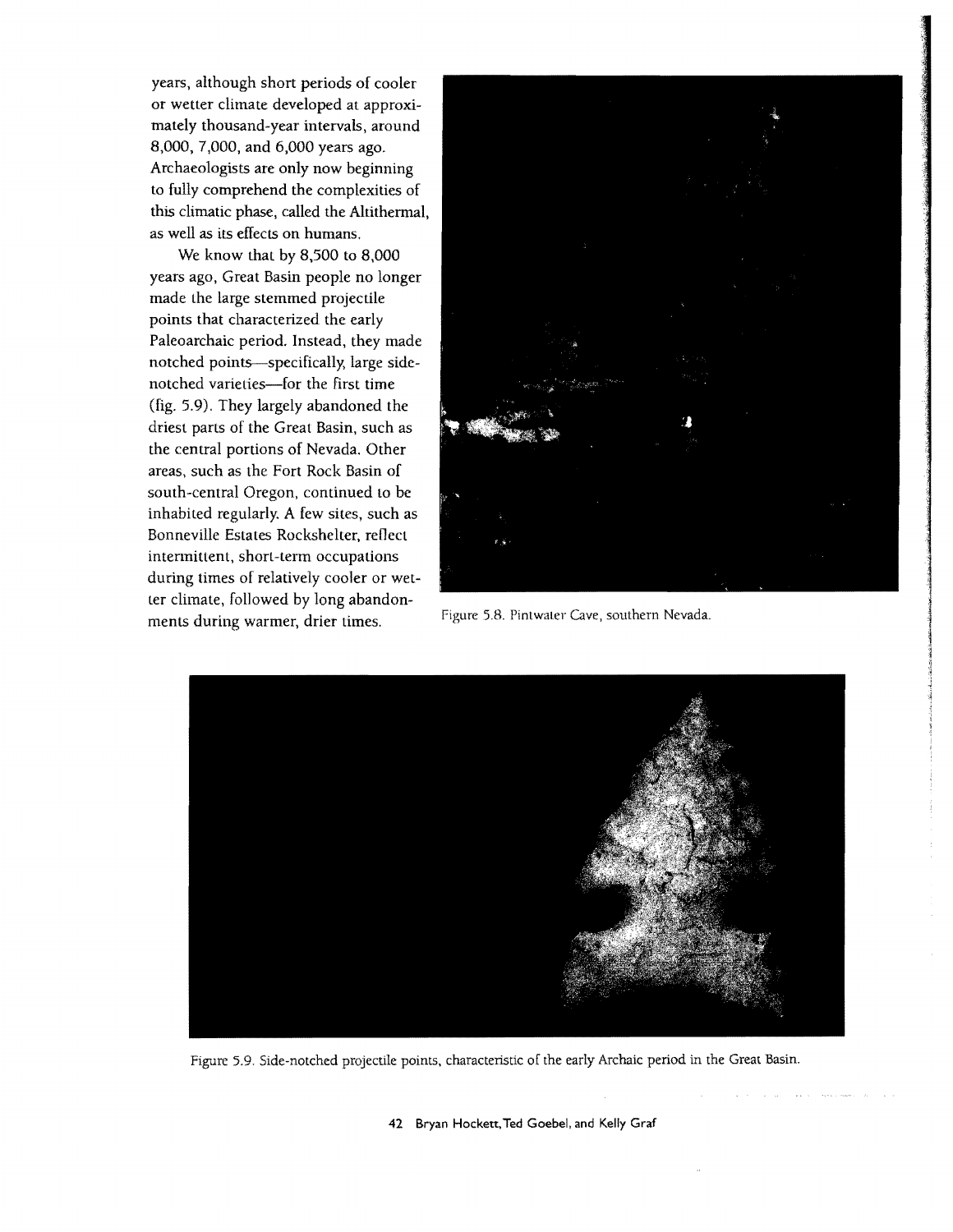years, although short periods of cooler or wetter climate developed at approximately thousand-year intervals, around 8,000, 7,000, and 6,000 years ago. Archaeologists are only now beginning to fully comprehend the complexities of this climatic phase, called the Altithermal, as well as its effects on humans.

We know that by  $8,500$  to  $8,000$ years ago, Great Basin people no longer made the large stemmed projectile points that characterized the early Paleoarchaic period. Instead, they made notched points-specifically, large sidenotched varieties-for the first time (fig. 5.9). They largely abandoned the driest parts of the Great Basin, such as the central portions of Nevada. Other areas, such as the Fort Rock Basin of south-central Oregon, continued to be inhabited regularly. A few sites, such as Bonneville Estates Rockshelter, reflect intermittent, short-term occupations during times of relatively cooler or wetter climate, followed by long abandon-Figure 5.B. Pintwater Cave, southern Nevada. ments during warmer, drier times.





Figure 5.9. Side-notched projectile points, characteristic of the early Archaic period in the Great Basin.

42 Bryan Hockett,Ted Goebel. and Kelly Graf